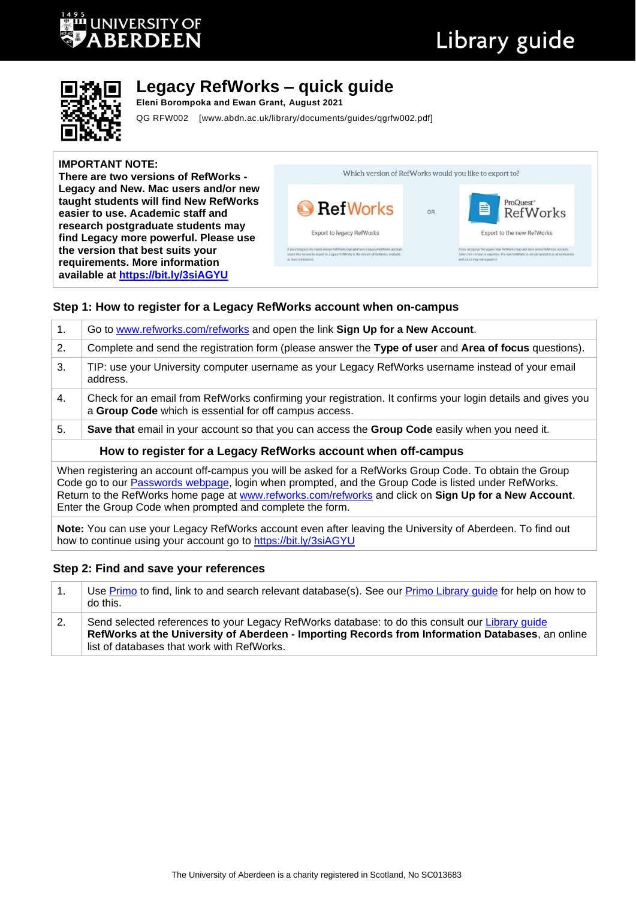# **UNIVERSITY OF JERDEEN**

# Library guide



# **Legacy RefWorks – quick guide**

**Eleni Borompoka and Ewan Grant, August 2021**

QG RFW002 [www.abdn.ac.uk/library/documents/guides/qgrfw002.pdf]

#### **IMPORTANT NOTE:**

**There are two versions of RefWorks - Legacy and New. Mac users and/or new taught students will find New RefWorks easier to use. Academic staff and research postgraduate students may find Legacy more powerful. Please use the version that best suits your requirements. More information available at <https://bit.ly/3siAGYU>**

| Which version of RefWorks would you like to export to?                                                                                                                                                 |    |                                                                                                                                                                                                                  |  |
|--------------------------------------------------------------------------------------------------------------------------------------------------------------------------------------------------------|----|------------------------------------------------------------------------------------------------------------------------------------------------------------------------------------------------------------------|--|
| <b>Ref Works</b>                                                                                                                                                                                       | OR | ProQuest®<br>RefWorks<br>B                                                                                                                                                                                       |  |
| <b>Export to legacy RefWorks</b>                                                                                                                                                                       |    | Export to the new RefWorks                                                                                                                                                                                       |  |
| If you recognize the round orange RefWorks logo and have a legacy RefWorks account.<br>select this version to export to. Legacy RefWorks is the version of RefWorks available<br>at most institutions. |    | If you recognize the square blue RefWorks logo and have a new RefWorks account.<br>select this version to export to. The new RefWorks is not yet available at all institutions.<br>and yours may not support it. |  |

# **Step 1: How to register for a Legacy RefWorks account when on-campus**

| 1.                                                            | Go to www.refworks.com/refworks and open the link Sign Up for a New Account.                                                                                                                                                                                                                                                                                                                                                                          |  |  |  |
|---------------------------------------------------------------|-------------------------------------------------------------------------------------------------------------------------------------------------------------------------------------------------------------------------------------------------------------------------------------------------------------------------------------------------------------------------------------------------------------------------------------------------------|--|--|--|
| 2.                                                            | Complete and send the registration form (please answer the Type of user and Area of focus questions).                                                                                                                                                                                                                                                                                                                                                 |  |  |  |
| 3.                                                            | TIP: use your University computer username as your Legacy RefWorks username instead of your email<br>address.                                                                                                                                                                                                                                                                                                                                         |  |  |  |
| 4.                                                            | Check for an email from RefWorks confirming your registration. It confirms your login details and gives you<br>a Group Code which is essential for off campus access.                                                                                                                                                                                                                                                                                 |  |  |  |
| 5.                                                            | Save that email in your account so that you can access the Group Code easily when you need it.                                                                                                                                                                                                                                                                                                                                                        |  |  |  |
| How to register for a Legacy RefWorks account when off-campus |                                                                                                                                                                                                                                                                                                                                                                                                                                                       |  |  |  |
|                                                               | When registering an account off-campus you will be asked for a RefWorks Group Code. To obtain the Group<br>Code go to our Passwords webpage, login when prompted, and the Group Code is listed under RefWorks.<br>$\overline{a}$ . The contract the contract of the contract of the contract of the contract of the contract of the contract of the contract of the contract of the contract of the contract of the contract of the contract of the c |  |  |  |

Return to the RefWorks home page at [www.refworks.com/refworks](http://www.refworks.com/refworks) and click on **Sign Up for a New Account**. Enter the Group Code when prompted and complete the form.

**Note:** You can use your Legacy RefWorks account even after leaving the University of Aberdeen. To find out how to continue using your account go to<https://bit.ly/3siAGYU>

# **Step 2: Find and save your references**

|    | Use Primo to find, link to and search relevant database(s). See our Primo Library guide for help on how to<br>do this.                                                                                                                            |
|----|---------------------------------------------------------------------------------------------------------------------------------------------------------------------------------------------------------------------------------------------------|
| 2. | Send selected references to your Legacy RefWorks database: to do this consult our Library guide<br>RefWorks at the University of Aberdeen - Importing Records from Information Databases, an online<br>list of databases that work with RefWorks. |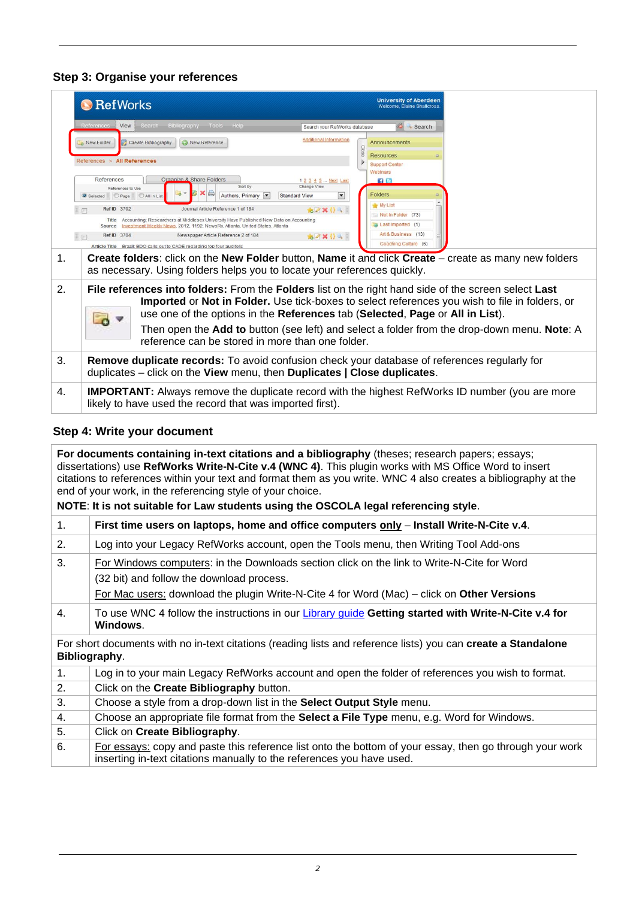# **Step 3: Organise your references**

|    | <b>B</b> RefWorks                              |                                                                                                                                                                                       |                                     | <b>University of Aberdeen</b><br>Welcome, Elaine Shallcross. |                                                                                                                                                                                                              |
|----|------------------------------------------------|---------------------------------------------------------------------------------------------------------------------------------------------------------------------------------------|-------------------------------------|--------------------------------------------------------------|--------------------------------------------------------------------------------------------------------------------------------------------------------------------------------------------------------------|
|    | References<br>View                             | Search Bibliography Tools Help                                                                                                                                                        | Search your RefWorks database       | Search                                                       |                                                                                                                                                                                                              |
|    | Create Bibliography<br>o New Folder            | C New Reference                                                                                                                                                                       | <b>Additional Information</b>       | Announcements                                                |                                                                                                                                                                                                              |
|    | References > All References                    |                                                                                                                                                                                       |                                     | <b>Resources</b><br><b>Support Center</b>                    |                                                                                                                                                                                                              |
|    |                                                |                                                                                                                                                                                       |                                     | Webinars                                                     |                                                                                                                                                                                                              |
|    | References                                     | Organize & Share Folders<br>Sort by                                                                                                                                                   | 1 2 3 4 5  Next Last<br>Change View | $f$ B                                                        |                                                                                                                                                                                                              |
|    | References to Use<br>Selected Page All in List | Authors, Primary                                                                                                                                                                      | <b>Standard View</b>                | <b>Folders</b>                                               |                                                                                                                                                                                                              |
|    | Ref ID 3702                                    | Journal Article Reference 1 of 184                                                                                                                                                    |                                     | My List                                                      |                                                                                                                                                                                                              |
|    | $\Box$<br>Title                                | Accounting; Researchers at Middlesex University Have Published New Data on Accounting                                                                                                 | <b>b</b> 2 X () 4                   | Not in Folder (73)                                           |                                                                                                                                                                                                              |
|    | Source                                         | Investment Weekly News, 2012, 1192, NewsRx, Atlanta, United States, Atlanta                                                                                                           |                                     | Last Imported (1)                                            |                                                                                                                                                                                                              |
|    | Ref ID 3704                                    | Newspaper Article Reference 2 of 184                                                                                                                                                  | 6 X () 4                            | Art & Business (13)                                          |                                                                                                                                                                                                              |
|    |                                                | Article Title Brazil: BDO calls out to CADE regarding top four auditors                                                                                                               |                                     | Coaching Culture (6)                                         |                                                                                                                                                                                                              |
| 1. |                                                | as necessary. Using folders helps you to locate your references quickly.                                                                                                              |                                     |                                                              | Create folders: click on the New Folder button, Name it and click Create – create as many new folders                                                                                                        |
| 2. |                                                | File references into folders: From the Folders list on the right hand side of the screen select Last<br>use one of the options in the References tab (Selected, Page or All in List). |                                     |                                                              | Imported or Not in Folder. Use tick-boxes to select references you wish to file in folders, or<br>Then open the <b>Add to</b> button (see left) and select a folder from the drop-down menu. <b>Note</b> : A |
|    |                                                | reference can be stored in more than one folder.                                                                                                                                      |                                     |                                                              |                                                                                                                                                                                                              |
| 3. |                                                | Remove duplicate records: To avoid confusion check your database of references regularly for<br>duplicates – click on the View menu, then Duplicates   Close duplicates.              |                                     |                                                              |                                                                                                                                                                                                              |
| 4. |                                                | likely to have used the record that was imported first).                                                                                                                              |                                     |                                                              | <b>IMPORTANT:</b> Always remove the duplicate record with the highest RefWorks ID number (you are more                                                                                                       |

# **Step 4: Write your document**

**For documents containing in-text citations and a bibliography** (theses; research papers; essays; dissertations) use **RefWorks Write-N-Cite v.4 (WNC 4)**. This plugin works with MS Office Word to insert citations to references within your text and format them as you write. WNC 4 also creates a bibliography at the end of your work, in the referencing style of your choice.

#### **NOTE**: **It is not suitable for Law students using the OSCOLA legal referencing style**.

| 1. | First time users on laptops, home and office computers only – Install Write-N-Cite v.4.                                                                                                                                               |
|----|---------------------------------------------------------------------------------------------------------------------------------------------------------------------------------------------------------------------------------------|
| 2. | Log into your Legacy RefWorks account, open the Tools menu, then Writing Tool Add-ons                                                                                                                                                 |
| 3. | For Windows computers: in the Downloads section click on the link to Write-N-Cite for Word<br>(32 bit) and follow the download process.<br>For Mac users: download the plugin Write-N-Cite 4 for Word (Mac) – click on Other Versions |
| 4. | To use WNC 4 follow the instructions in our Library guide Getting started with Write-N-Cite v.4 for<br>Windows.                                                                                                                       |
|    | For short documents with no in-text citations (reading lists and reference lists) you can create a Standalone<br>Bibliography.                                                                                                        |
| 1. | Log in to your main Legacy RefWorks account and open the folder of references you wish to format.                                                                                                                                     |
| 2. | Click on the Create Bibliography button.                                                                                                                                                                                              |
| 3. | Choose a style from a drop-down list in the Select Output Style menu.                                                                                                                                                                 |
| 4. | Choose an appropriate file format from the Select a File Type menu, e.g. Word for Windows.                                                                                                                                            |
| 5. | Click on Create Bibliography.                                                                                                                                                                                                         |
| 6. | For essays: copy and paste this reference list onto the bottom of your essay, then go through your work<br>inserting in-text citations manually to the references you have used.                                                      |
|    |                                                                                                                                                                                                                                       |